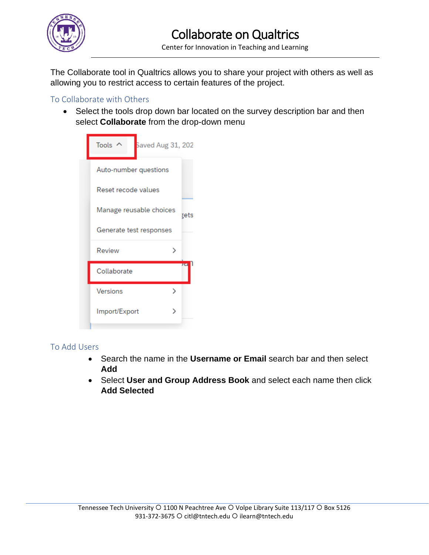

The Collaborate tool in Qualtrics allows you to share your project with others as well as allowing you to restrict access to certain features of the project.

## To Collaborate with Others

• Select the tools drop down bar located on the survey description bar and then select **Collaborate** from the drop-down menu

| Tools<br>Saved Aug 31, 202      |
|---------------------------------|
| Auto-number questions           |
| Reset recode values             |
| Manage reusable choices<br>≹ets |
| Generate test responses         |
| Review                          |
| πa<br>Collaborate               |
| Versions<br>↘                   |
| Import/Export<br>↘              |
|                                 |

## To Add Users

- Search the name in the **Username or Email** search bar and then select **Add**
- Select **User and Group Address Book** and select each name then click **Add Selected**